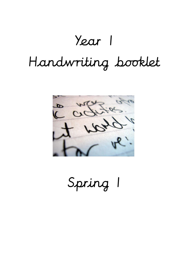## Year 1 Handwriting booklet



Spring 1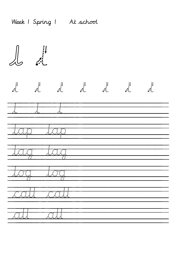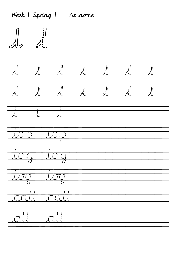|                     | Week I Spring I At home         |               |                                           |                         |  |
|---------------------|---------------------------------|---------------|-------------------------------------------|-------------------------|--|
|                     |                                 |               |                                           |                         |  |
|                     | $\frac{1}{2}$                   |               | $\mathcal{A}$ $\mathcal{A}$ $\mathcal{A}$ | $\frac{1}{\sqrt{2\pi}}$ |  |
|                     |                                 |               |                                           |                         |  |
|                     |                                 |               |                                           |                         |  |
|                     |                                 |               |                                           |                         |  |
| $\ddot{\mathbf{z}}$ | $\ddot{\cdot}$<br>$\mathcal{L}$ | $\mathcal{L}$ |                                           |                         |  |
|                     |                                 |               |                                           |                         |  |
|                     |                                 |               |                                           |                         |  |
|                     |                                 |               |                                           |                         |  |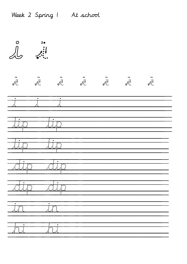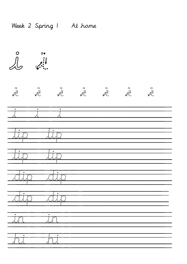| $\bigcap_{n=0}^{\infty}$                                      | $2\bullet$           |                                                                |                                                                |                                                                           |                                                 |              |  |
|---------------------------------------------------------------|----------------------|----------------------------------------------------------------|----------------------------------------------------------------|---------------------------------------------------------------------------|-------------------------------------------------|--------------|--|
| $\begin{array}{c} 2 \bullet \\ \vdots \\ \bullet \end{array}$ | $\frac{2}{\sqrt{2}}$ | $\begin{array}{c}\n\bullet \\ \bullet \\ \bullet\n\end{array}$ | $\begin{array}{c}\n\bullet \\ \bullet \\ \bullet\n\end{array}$ | $\begin{array}{c}\n\bullet \\ \bullet \\ \bullet \\ \bullet\n\end{array}$ | $\begin{matrix} 20 \\ 1 \\ 1 \\ 2 \end{matrix}$ | $\mathbb{R}$ |  |
| $\bullet$                                                     | ٠                    | $\bullet$                                                      |                                                                |                                                                           |                                                 |              |  |
|                                                               |                      |                                                                |                                                                |                                                                           |                                                 |              |  |
| ٠                                                             |                      | $\ddot{\cdot}$                                                 |                                                                |                                                                           |                                                 |              |  |
| $\overline{\cdot}$ : $\overline{\cdot}$                       |                      | $\overline{\cdot}$ : $\overline{\cdot}$<br>115                 |                                                                |                                                                           |                                                 |              |  |
|                                                               |                      | $\overline{f}$<br>F)                                           |                                                                |                                                                           |                                                 |              |  |
| ٠                                                             | $\frac{1}{2}$        | $\bullet$<br><b>Pi</b>                                         |                                                                |                                                                           |                                                 |              |  |
| $\bullet$<br>$\mathbf{f}^{\mathbf{r}}$                        |                      | $\bullet$<br><u>:</u>                                          |                                                                |                                                                           |                                                 |              |  |

Week 2 Spring 1 At home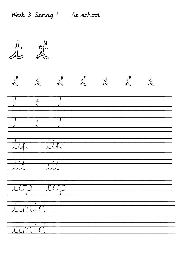|                                     | $\begin{array}{c}\n\vdots \\ \downarrow \\ \downarrow\n\end{array}$ |                                                                                                                          |  | $\begin{array}{c}\n\frac{1}{2} & \dots \\ \vdots & \vdots \\ \end{array}$ | $\begin{array}{c}\n\vdots \\ \downarrow \\ \downarrow\n\end{array}$ |  |
|-------------------------------------|---------------------------------------------------------------------|--------------------------------------------------------------------------------------------------------------------------|--|---------------------------------------------------------------------------|---------------------------------------------------------------------|--|
| $\vdots$<br>Ī                       |                                                                     | $\begin{array}{c} \begin{array}{c} \begin{array}{c} \end{array} \\ \begin{array}{c} \end{array} \end{array} \end{array}$ |  |                                                                           |                                                                     |  |
| $\frac{1}{2}$                       | $\vdots$<br>Ť                                                       | $\ddot{\cdot}$<br>Ť                                                                                                      |  |                                                                           |                                                                     |  |
| to pr                               |                                                                     | Till                                                                                                                     |  |                                                                           |                                                                     |  |
|                                     |                                                                     |                                                                                                                          |  |                                                                           |                                                                     |  |
| Ť<br>$\mathbb{Z}$<br>$\mathcal{L}$  | $\ddot{\cdot}$<br>Ī                                                 | Till                                                                                                                     |  |                                                                           |                                                                     |  |
|                                     | <b>Junia</b>                                                        |                                                                                                                          |  |                                                                           |                                                                     |  |
| ٠<br>$\overline{\mathbb{T}}$<br>FT. | $\bullet$<br>Ī                                                      |                                                                                                                          |  |                                                                           |                                                                     |  |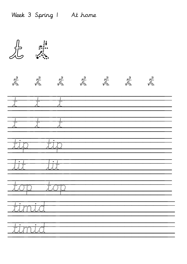|               |                               |                                             | $\begin{array}{c}\n\frac{1}{2} \\ \frac{1}{2} \\ \frac{1}{2} \\ \frac{1}{2} \\ \frac{1}{2} \\ \frac{1}{2} \\ \frac{1}{2} \\ \frac{1}{2} \\ \frac{1}{2} \\ \frac{1}{2} \\ \frac{1}{2} \\ \frac{1}{2} \\ \frac{1}{2} \\ \frac{1}{2} \\ \frac{1}{2} \\ \frac{1}{2} \\ \frac{1}{2} \\ \frac{1}{2} \\ \frac{1}{2} \\ \frac{1}{2} \\ \frac{1}{2} \\ \frac{1}{2} \\ \frac{1}{2} \\ \frac{1}{2} \\ \frac{1}{2} \\ \frac{1}{2} \\ \frac{1$ |  |  |
|---------------|-------------------------------|---------------------------------------------|-----------------------------------------------------------------------------------------------------------------------------------------------------------------------------------------------------------------------------------------------------------------------------------------------------------------------------------------------------------------------------------------------------------------------------------|--|--|
|               | $\frac{1}{2}$                 | -<br><br>                                   |                                                                                                                                                                                                                                                                                                                                                                                                                                   |  |  |
| $\frac{1}{1}$ | $\dddot{$                     | $\vdots$                                    |                                                                                                                                                                                                                                                                                                                                                                                                                                   |  |  |
| in p          | Ť                             |                                             |                                                                                                                                                                                                                                                                                                                                                                                                                                   |  |  |
| Ť             |                               | $\bullet$ :                                 |                                                                                                                                                                                                                                                                                                                                                                                                                                   |  |  |
| the street    | $\vdots$<br>Ī                 | II<br><i>:</i><br>$\ddot{\cdot}$<br>$\cdot$ |                                                                                                                                                                                                                                                                                                                                                                                                                                   |  |  |
| $\bullet$     | $\bullet$<br><u> Esterant</u> |                                             |                                                                                                                                                                                                                                                                                                                                                                                                                                   |  |  |
| ٠             | <b>TERTILET</b>               |                                             |                                                                                                                                                                                                                                                                                                                                                                                                                                   |  |  |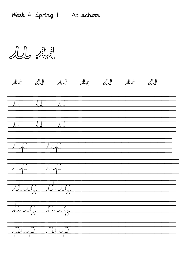LL signi

| $\mathbb{R}^{n+1}$                                                                                                  | الجاثر الجاثر الجاثر الجاثر الجاثر الجاثر |               |  |  |  |
|---------------------------------------------------------------------------------------------------------------------|-------------------------------------------|---------------|--|--|--|
|                                                                                                                     |                                           |               |  |  |  |
|                                                                                                                     |                                           |               |  |  |  |
|                                                                                                                     |                                           |               |  |  |  |
|                                                                                                                     |                                           | <u>Time</u>   |  |  |  |
| 211.121                                                                                                             |                                           | <u> Alang</u> |  |  |  |
| <u> 1999 - 1999 - 1999 - 1999 - 1999 - 1999 - 1999 - 1999 - 1999 - 1999 - 1999 - 1999 - 1999 - 1999 - 1999 - 19</u> | $\mathbf{r}$                              | <u>Inlaci</u> |  |  |  |
| Film                                                                                                                |                                           | <b>Filli</b>  |  |  |  |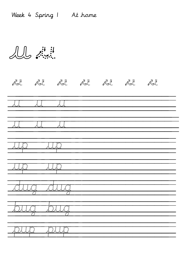$\text{min.}\ \ \begin{matrix} \frac{1}{2} & \frac{1}{2} & \frac{1}{2} \\ \frac{1}{2} & \frac{1}{2} & \frac{1}{2} & \frac{1}{2} \\ \frac{1}{2} & \frac{1}{2} & \frac{1}{2} & \frac{1}{2} \end{matrix}$ 

| $\mathbb{R}^{\mathbb{N}}$ |                                                                                                                     |  | الجائير الجائير الجائير الجائير الجائير الجائير |  |
|---------------------------|---------------------------------------------------------------------------------------------------------------------|--|-------------------------------------------------|--|
|                           |                                                                                                                     |  |                                                 |  |
| $\mathcal{A}$             |                                                                                                                     |  |                                                 |  |
| <b>ALLEY</b>              | <b>Alian</b>                                                                                                        |  |                                                 |  |
|                           | <b>TERMIN</b>                                                                                                       |  |                                                 |  |
| Alang                     | 2112                                                                                                                |  |                                                 |  |
| <b>Filled State</b>       | <u> 1999 - 1999 - 1999 - 1999 - 1999 - 1999 - 1999 - 1999 - 1999 - 1999 - 1999 - 1999 - 1999 - 1999 - 1999 - 19</u> |  |                                                 |  |
| <u> Film</u>              | <b>The President</b>                                                                                                |  |                                                 |  |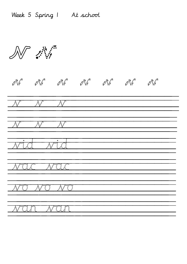Week 5 Spring 1 At school

N Arig v v v v v v v  $\mathcal{N} = \mathcal{N} = \mathcal{N}$  .  $\mathcal{N} = \mathcal{N} = \mathcal{N}$  .  $\mathcal{N} =$ vid vid vac vac vo vo vo van van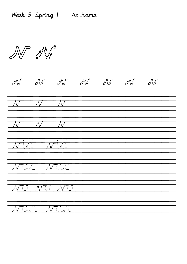W AN v v v v v v v  $\overline{\mathcal{N} = \mathcal{N} = \mathcal{N} }$  $\overline{\mathcal{N} = \mathcal{N} = \mathcal{N} =}$ vid vid vac vac vo vo vo van van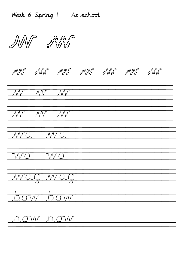Week 6 Spring 1 At school

 $\mathbb{Z}^N$ 

## w w w w w w w

w w w

w w w

WA WA

bow bow

now now

wo wo wag wag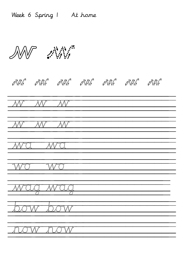$\mathbb{Z}^n$ w w w w w w w W W W  $\overline{\mathcal{W} \cdot \mathcal{W} \cdot \mathcal{W}}$ WC WC wo wo wag wag bow bow **now now**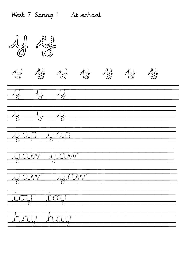$\begin{array}{c}\n\mathbf{1} \\
\mathbf{1} \\
\mathbf{1}\n\end{array}$ <u> Alexander Alexand</u> **RESEAM REAL AND START ALCOMY JESTARY Jessie** <u>ig</u> <u>Trall</u> <u>thural</u>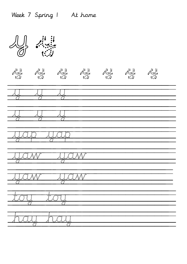$\frac{1}{\sqrt{2}}$   $\frac{1}{\sqrt{2}}$ **JUSTAV ALCOMO** <u>JUCIAN</u> **JESTARY INSTERN** <u>ig</u> hall. **The Company**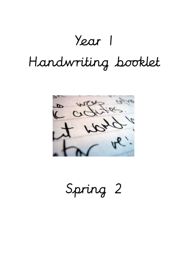## Year 1 Handwriting booklet



Spring 2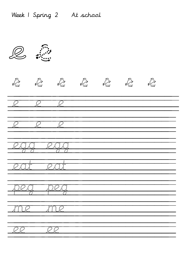R : e e e e e e e e e e e e e egg egg eat eat peg peg me me ee ee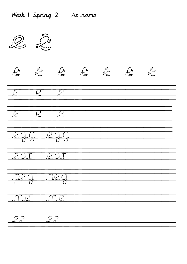R : e e e e e e e e e e e e e egg egg eat eat peg peg me me ee ee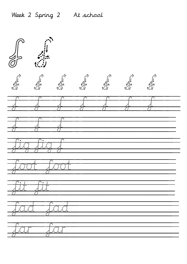$\begin{matrix} \frac{1}{2} & \frac{1}{2} \\ \frac{1}{2} & \frac{1}{2} \\ \frac{1}{2} & \frac{1}{2} \end{matrix}$ f f f f f f f f f f f f f f f f f fig fig f foot foot fit fit fad fad far far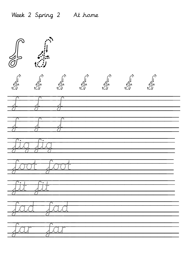$\begin{matrix} \frac{1}{2} & \frac{1}{2} \\ \frac{1}{2} & \frac{1}{2} \\ \frac{1}{2} & \frac{1}{2} \end{matrix}$ f f f f f f f f f f f families fig fig foot foot fit fit fad fad far far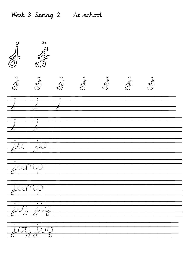## Week 3 Spring 2 At school

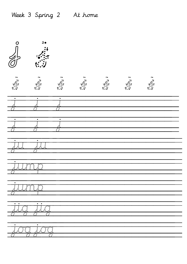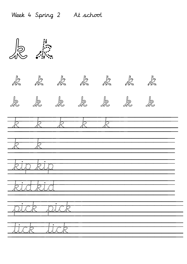k k k k k k k k k k k k k k k k k k k k k  $k \rightarrow k$ kip kip kid kid pick pick lick lick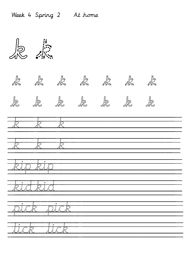$\frac{1}{\sqrt{2}}$ k k k k k k k k k k k k k k  $k - k - k$  $k$  k k kip kip kid kid pick pick lick lick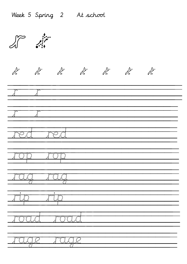| Week 5 Spring 2 At school                                                                                                                                                           |
|-------------------------------------------------------------------------------------------------------------------------------------------------------------------------------------|
| $\begin{array}{c}\n\begin{array}{c}\n\downarrow \\ \downarrow \\ \downarrow \\ \downarrow\n\end{array}\n\end{array}$                                                                |
| $\mathcal{L}^{\mathcal{I},\mathcal{I}}_{\mathcal{I},\mathcal{I}}$<br>$\begin{array}{c}\n\mathbf{1} & \mathbf{1} \\ \mathbf{1} & \mathbf{1} \\ \mathbf{1} & \mathbf{1}\n\end{array}$ |
| $\ddot{\cdot}$ .                                                                                                                                                                    |
| $\mathbf{r}$                                                                                                                                                                        |
| rys m                                                                                                                                                                               |
|                                                                                                                                                                                     |
| <u>т.</u>                                                                                                                                                                           |
|                                                                                                                                                                                     |
| $\overline{\mathbb{T}}$                                                                                                                                                             |
| $\cdot$ :                                                                                                                                                                           |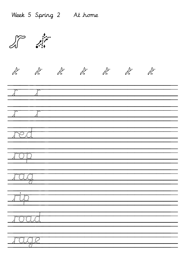r r r r r r r r r r r r r **Treat Trunca** France ripa<br>Ripa pa arroa a rage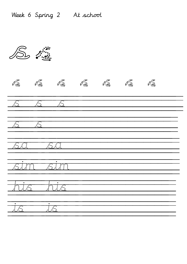$\int_{0}^{1}$ 18. 18. 18. 18. 18. 18. 18. 18. **ANGEL AUTE ALIT** FLIS his.  $\frac{1}{\sqrt{2}}$